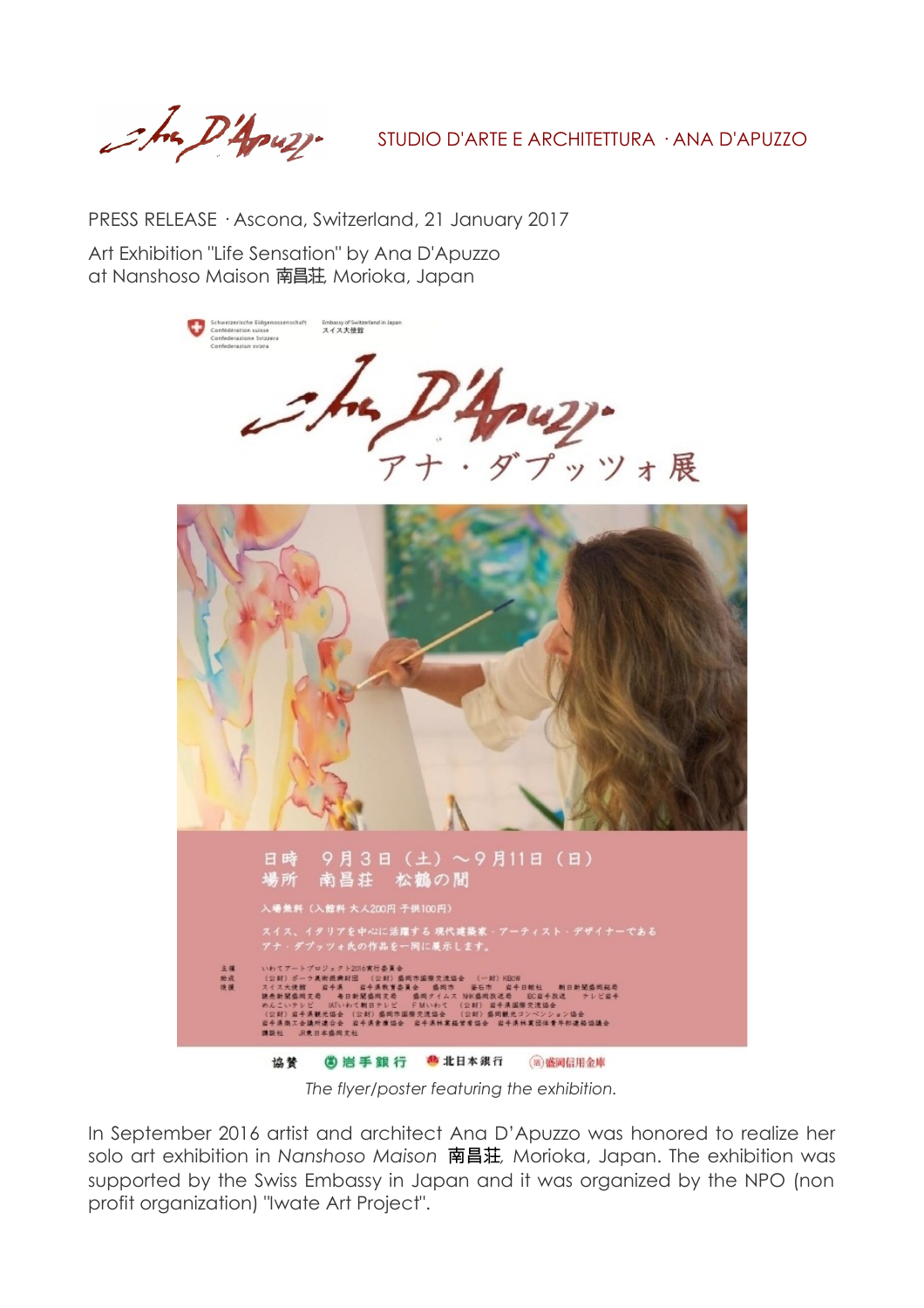Sha D'Apuzz.

STUDIO D'ARTE E ARCHITETTURA · ANA D'APUZZO

PRESS RELEASE · Ascona, Switzerland, 21 January 2017

Art Exhibition "Life Sensation" by Ana D'Apuzzo at Nanshoso Maison 南昌荘, Morioka, Japan



*The flyer/poster featuring the exhibition.*

In September 2016 artist and architect Ana D'Apuzzo was honored to realize her solo art exhibition in *Nanshoso Maison* 南昌荘*,* Morioka, Japan. The exhibition was supported by the Swiss Embassy in Japan and it was organized by the NPO (non profit organization) "Iwate Art Project".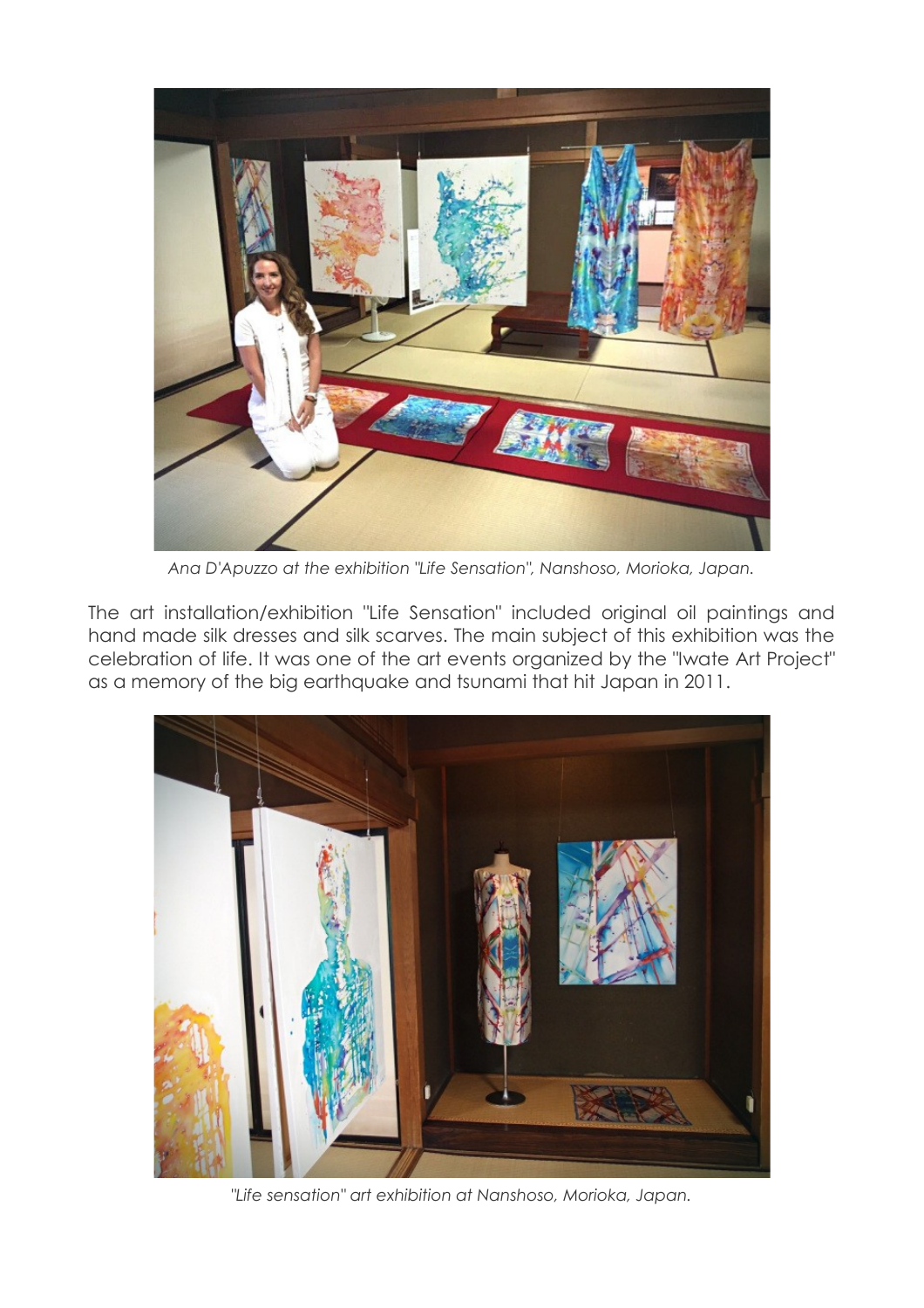

*Ana D'Apuzzo at the exhibition "Life Sensation", Nanshoso, Morioka, Japan.*

The art installation/exhibition "Life Sensation" included original oil paintings and hand made silk dresses and silk scarves. The main subject of this exhibition was the celebration of life. It was one of the art events organized by the "Iwate Art Project" as a memory of the big earthquake and tsunami that hit Japan in 2011.



*"Life sensation" art exhibition at Nanshoso, Morioka, Japan.*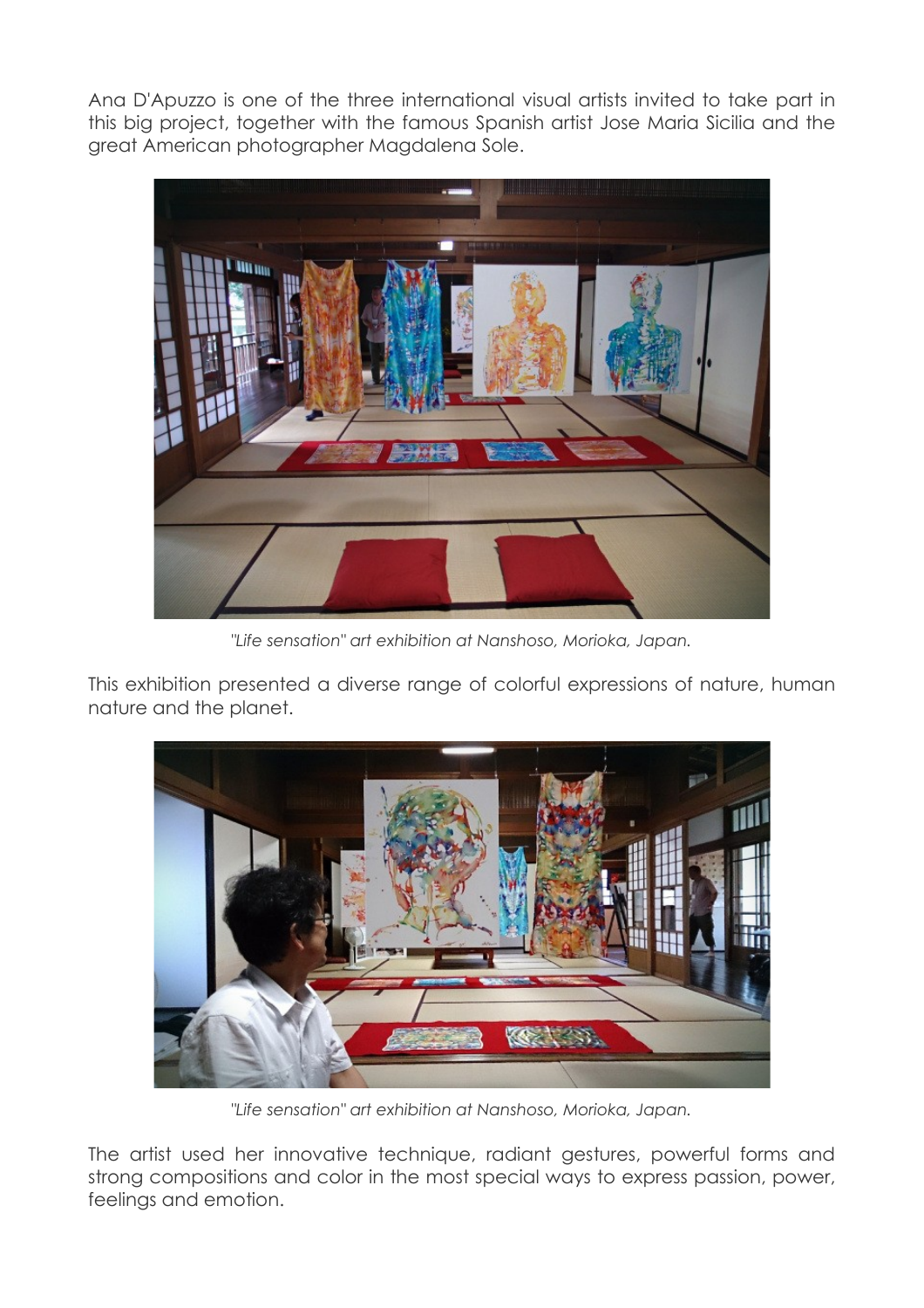Ana D'Apuzzo is one of the three international visual artists invited to take part in this big project, together with the famous Spanish artist Jose Maria Sicilia and the great American photographer Magdalena Sole.



*"Life sensation" art exhibition at Nanshoso, Morioka, Japan.*

This exhibition presented a diverse range of colorful expressions of nature, human nature and the planet.



*"Life sensation" art exhibition at Nanshoso, Morioka, Japan.*

The artist used her innovative technique, radiant gestures, powerful forms and strong compositions and color in the most special ways to express passion, power, feelings and emotion.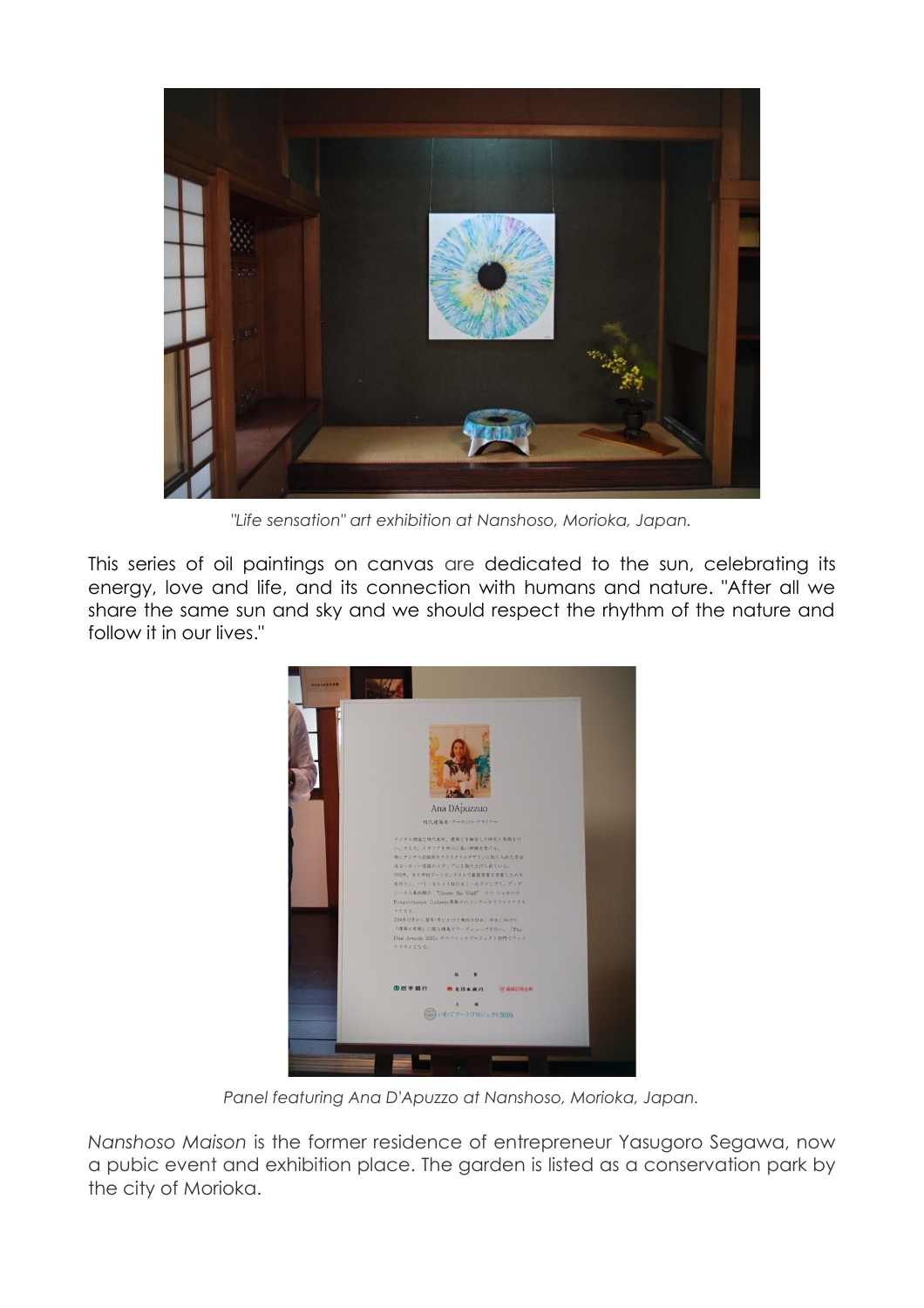

*"Life sensation" art exhibition at Nanshoso, Morioka, Japan.*

This series of oil paintings on canvas are dedicated to the sun, celebrating its energy, love and life, and its connection with humans and nature. "After all we share the same sun and sky and we should respect the rhythm of the nature and follow it in our lives."



*Panel featuring Ana D'Apuzzo at Nanshoso, Morioka, Japan.*

*Nanshoso Maison* is the former residence of entrepreneur Yasugoro Segawa, now a pubic event and exhibition place. The garden is listed as a conservation park by the city of Morioka.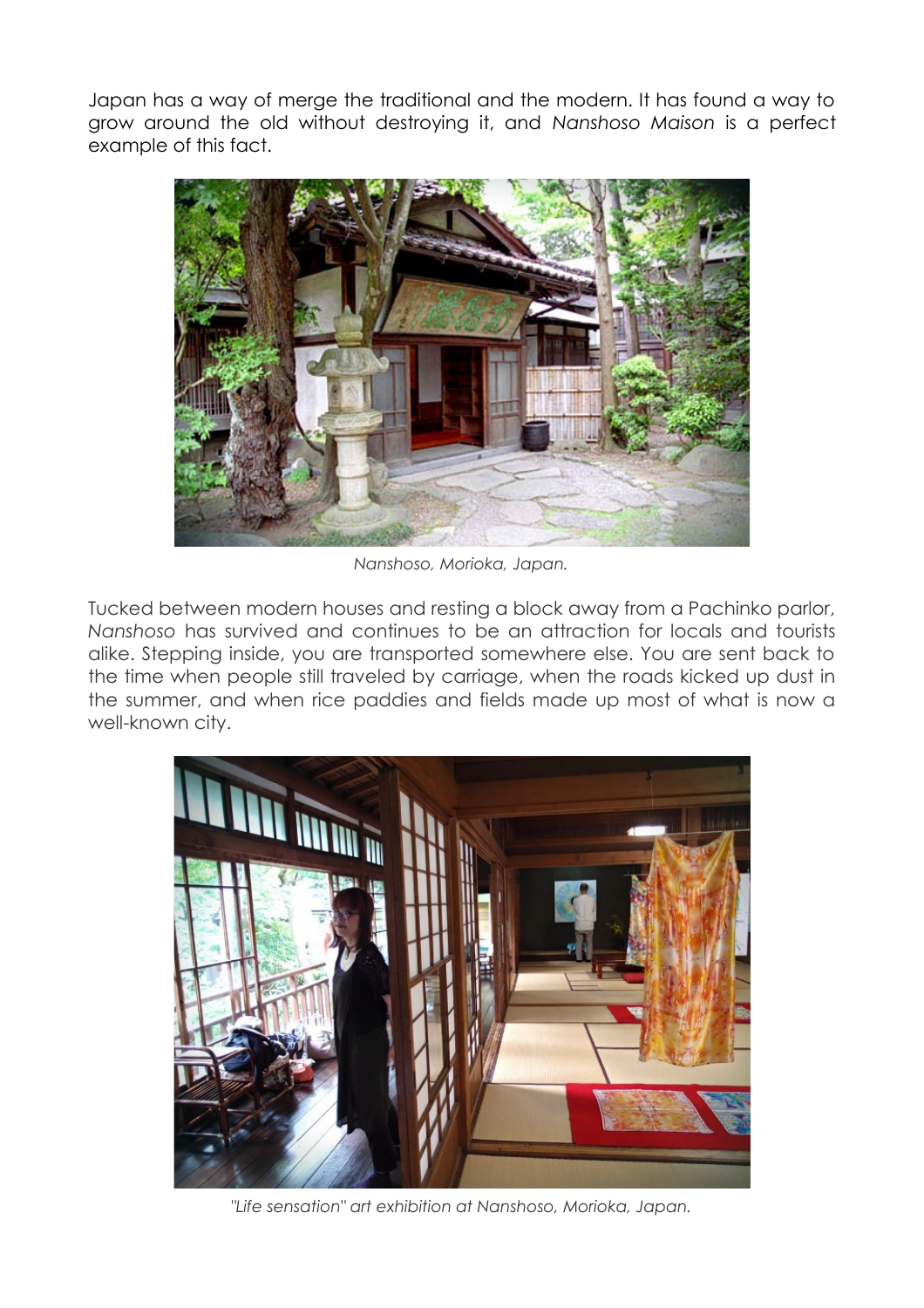Japan has a way of merge the traditional and the modern. It has found a way to grow around the old without destroying it, and *Nanshoso Maison* is a perfect example of this fact.



*Nanshoso, Morioka, Japan.*

Tucked between modern houses and resting a block away from a Pachinko parlor, *Nanshoso* has survived and continues to be an attraction for locals and tourists alike. Stepping inside, you are transported somewhere else. You are sent back to the time when people still traveled by carriage, when the roads kicked up dust in the summer, and when rice paddies and fields made up most of what is now a well-known city.



*"Life sensation" art exhibition at Nanshoso, Morioka, Japan.*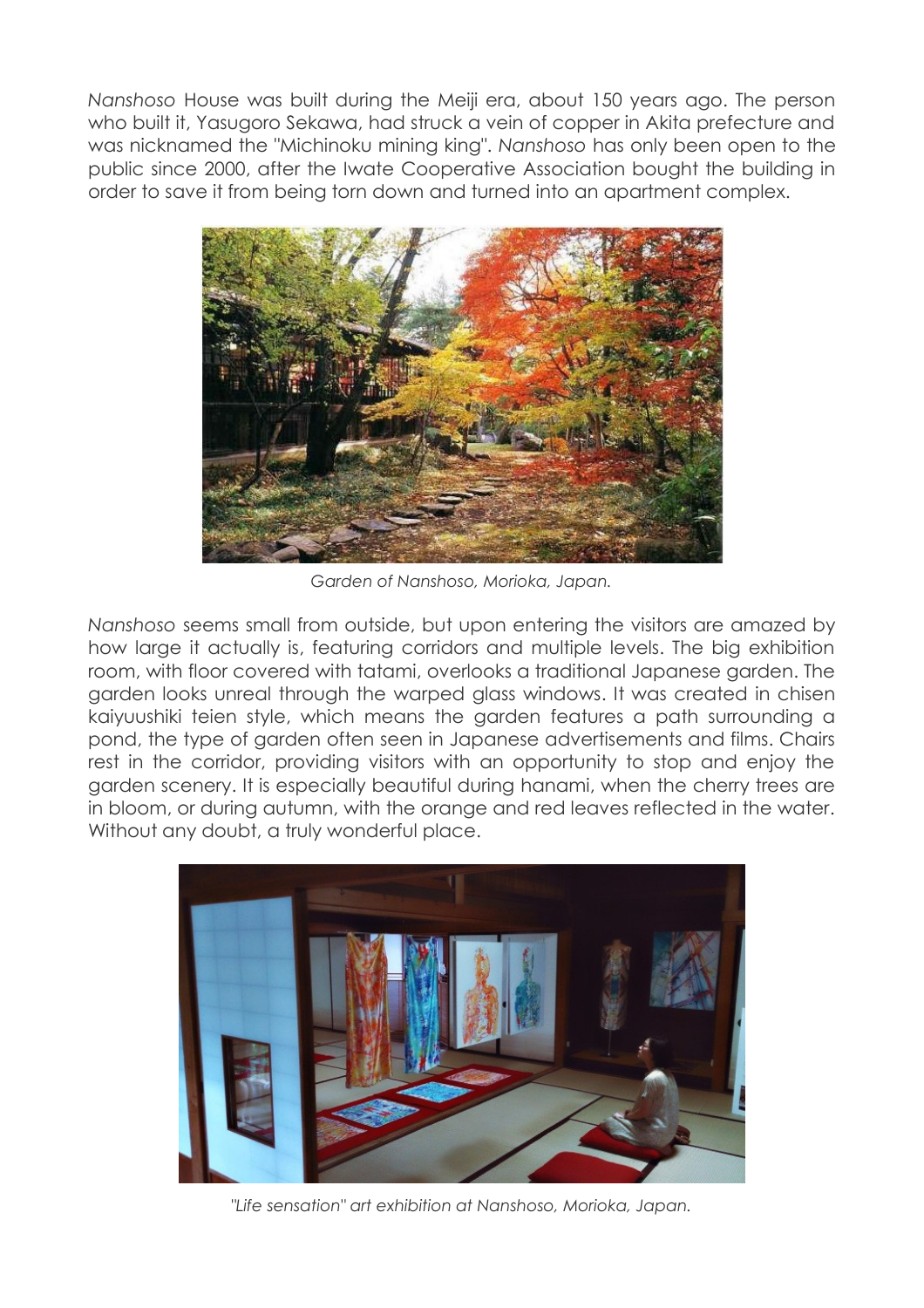*Nanshoso* House was built during the Meiji era, about 150 years ago. The person who built it, Yasugoro Sekawa, had struck a vein of copper in Akita prefecture and was nicknamed the "Michinoku mining king". *Nanshoso* has only been open to the public since 2000, after the Iwate Cooperative Association bought the building in order to save it from being torn down and turned into an apartment complex.



*Garden of Nanshoso, Morioka, Japan.*

*Nanshoso* seems small from outside, but upon entering the visitors are amazed by how large it actually is, featuring corridors and multiple levels. The big exhibition room, with floor covered with tatami, overlooks a traditional Japanese garden. The garden looks unreal through the warped glass windows. It was created in chisen kaiyuushiki teien style, which means the garden features a path surrounding a pond, the type of garden often seen in Japanese advertisements and films. Chairs rest in the corridor, providing visitors with an opportunity to stop and enjoy the garden scenery. It is especially beautiful during hanami, when the cherry trees are in bloom, or during autumn, with the orange and red leaves reflected in the water. Without any doubt, a truly wonderful place.



*"Life sensation" art exhibition at Nanshoso, Morioka, Japan.*